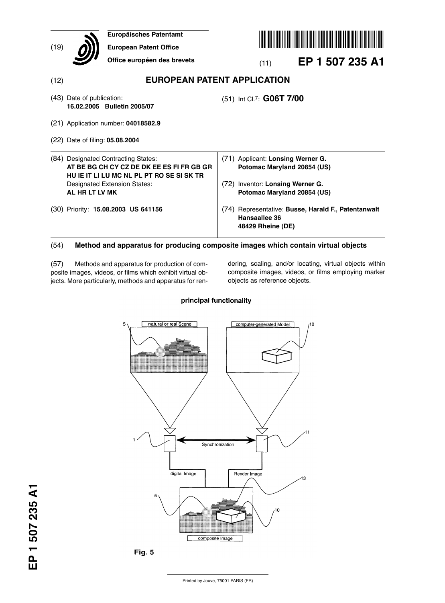| (19) | <b>Europäisches Patentamt</b><br><b>European Patent Office</b>                                                                                                |                                                                                                      |  |  |  |  |  |  |  |  |  |
|------|---------------------------------------------------------------------------------------------------------------------------------------------------------------|------------------------------------------------------------------------------------------------------|--|--|--|--|--|--|--|--|--|
|      | Office européen des brevets                                                                                                                                   | EP 1 507 235 A1<br>(11)                                                                              |  |  |  |  |  |  |  |  |  |
| (12) | <b>EUROPEAN PATENT APPLICATION</b>                                                                                                                            |                                                                                                      |  |  |  |  |  |  |  |  |  |
|      | (43) Date of publication:<br>16.02.2005 Bulletin 2005/07                                                                                                      | (51) Int Cl.7: G06T 7/00                                                                             |  |  |  |  |  |  |  |  |  |
|      | (21) Application number: 04018582.9                                                                                                                           |                                                                                                      |  |  |  |  |  |  |  |  |  |
|      | (22) Date of filing: <b>05.08.2004</b>                                                                                                                        |                                                                                                      |  |  |  |  |  |  |  |  |  |
|      | (84) Designated Contracting States:<br>AT BE BG CH CY CZ DE DK EE ES FI FR GB GR<br>HU IE IT LI LU MC NL PL PT RO SE SI SK TR<br>Designated Extension States: | (71) Applicant: Lonsing Werner G.<br>Potomac Maryland 20854 (US)<br>(72) Inventor: Lonsing Werner G. |  |  |  |  |  |  |  |  |  |
|      | AL HR LT LV MK                                                                                                                                                | Potomac Maryland 20854 (US)                                                                          |  |  |  |  |  |  |  |  |  |
|      | (30) Priority: 15.08.2003 US 641156                                                                                                                           | (74) Representative: Busse, Harald F., Patentanwalt<br>Hansaallee 36<br>48429 Rheine (DE)            |  |  |  |  |  |  |  |  |  |

## (54) **Method and apparatus for producing composite images which contain virtual objects**

(57) Methods and apparatus for production of composite images, videos, or films which exhibit virtual objects. More particularly, methods and apparatus for rendering, scaling, and/or locating, virtual objects within composite images, videos, or films employing marker objects as reference objects.

### principal functionality

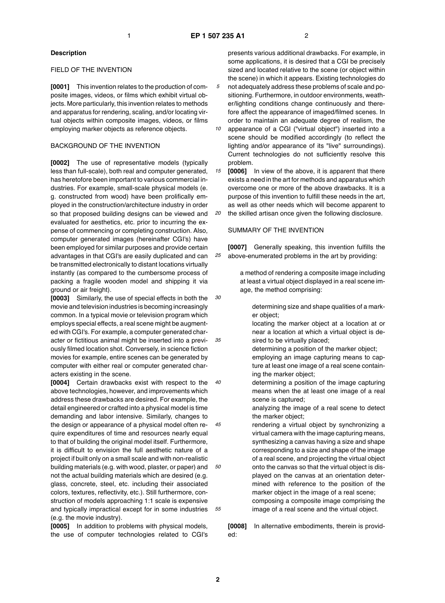*25*

#### **Description**

#### FIELD OF THE INVENTION

**[0001]** This invention relates to the production of composite images, videos, or films which exhibit virtual objects. More particularly, this invention relates to methods and apparatus for rendering, scaling, and/or locating virtual objects within composite images, videos, or films employing marker objects as reference objects.

#### BACKGROUND OF THE INVENTION

**[0002]** The use of representative models (typically less than full-scale), both real and computer generated, has heretofore been important to various commercial industries. For example, small-scale physical models (e. g. constructed from wood) have been prolifically employed in the construction/architecture industry in order so that proposed building designs can be viewed and evaluated for aesthetics, etc. prior to incurring the expense of commencing or completing construction. Also, computer generated images (hereinafter CGI's) have been employed for similar purposes and provide certain advantages in that CGI's are easily duplicated and can be transmitted electronically to distant locations virtually instantly (as compared to the cumbersome process of packing a fragile wooden model and shipping it via ground or air freight).

*30 35* **[0003]** Similarly, the use of special effects in both the movie and television industries is becoming increasingly common. In a typical movie or television program which employs special effects, a real scene might be augmented with CGI's. For example, a computer generated character or fictitious animal might be inserted into a previously filmed location shot. Conversely, in science fiction movies for example, entire scenes can be generated by computer with either real or computer generated characters existing in the scene.

*40 45 50 55* **[0004]** Certain drawbacks exist with respect to the above technologies, however, and improvements which address these drawbacks are desired. For example, the detail engineered or crafted into a physical model is time demanding and labor intensive. Similarly, changes to the design or appearance of a physical model often require expenditures of time and resources nearly equal to that of building the original model itself. Furthermore, it is difficult to envision the full aesthetic nature of a project if built only on a small scale and with non-realistic building materials (e.g. with wood, plaster, or paper) and not the actual building materials which are desired (e.g. glass, concrete, steel, etc. including their associated colors, textures, reflectivity, etc.). Still furthermore, construction of models approaching 1:1 scale is expensive and typically impractical except for in some industries (e.g. the movie industry).

**[0005]** In addition to problems with physical models, the use of computer technologies related to CGI's presents various additional drawbacks. For example, in some applications, it is desired that a CGI be precisely sized and located relative to the scene (or object within the scene) in which it appears. Existing technologies do not adequately address these problems of scale and positioning. Furthermore, in outdoor environments, weather/lighting conditions change continuously and therefore affect the appearance of imaged/filmed scenes. In order to maintain an adequate degree of realism, the

- *10* appearance of a CGI ("virtual object") inserted into a scene should be modified accordingly (to reflect the lighting and/or appearance of its "live" surroundings). Current technologies do not sufficiently resolve this problem.
- *15 20* **[0006]** In view of the above, it is apparent that there exists a need in the art for methods and apparatus which overcome one or more of the above drawbacks. It is a purpose of this invention to fulfill these needs in the art, as well as other needs which will become apparent to the skilled artisan once given the following disclosure.

#### SUMMARY OF THE INVENTION

**[0007]** Generally speaking, this invention fulfills the above-enumerated problems in the art by providing:

a method of rendering a composite image including at least a virtual object displayed in a real scene image, the method comprising:

determining size and shape qualities of a marker object;

locating the marker object at a location at or near a location at which a virtual object is desired to be virtually placed;

determining a position of the marker object; employing an image capturing means to capture at least one image of a real scene containing the marker object;

determining a position of the image capturing means when the at least one image of a real scene is captured;

analyzing the image of a real scene to detect the marker object;

rendering a virtual object by synchronizing a virtual camera with the image capturing means, synthesizing a canvas having a size and shape corresponding to a size and shape of the image of a real scene, and projecting the virtual object onto the canvas so that the virtual object is displayed on the canvas at an orientation determined with reference to the position of the marker object in the image of a real scene; composing a composite image comprising the image of a real scene and the virtual object.

**[0008]** In alternative embodiments, therein is provided: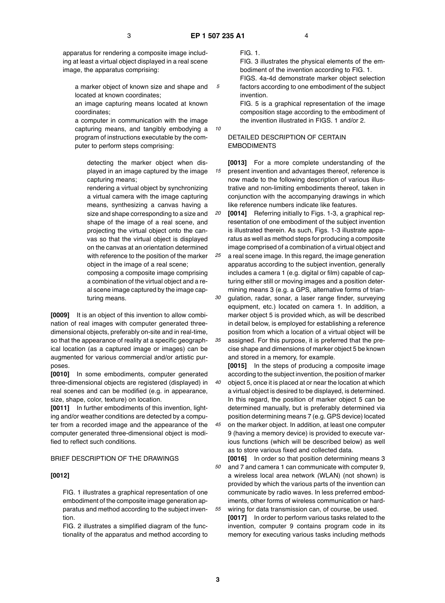*15*

apparatus for rendering a composite image including at least a virtual object displayed in a real scene image, the apparatus comprising:

*5* a marker object of known size and shape and located at known coordinates;

an image capturing means located at known coordinates;

a computer in communication with the image capturing means, and tangibly embodying a program of instructions executable by the computer to perform steps comprising:

detecting the marker object when displayed in an image captured by the image capturing means;

rendering a virtual object by synchronizing a virtual camera with the image capturing means, synthesizing a canvas having a size and shape corresponding to a size and shape of the image of a real scene, and projecting the virtual object onto the canvas so that the virtual object is displayed on the canvas at an orientation determined with reference to the position of the marker object in the image of a real scene;

composing a composite image comprising a combination of the virtual object and a real scene image captured by the image capturing means.

**[0009]** It is an object of this invention to allow combination of real images with computer generated threedimensional objects, preferably on-site and in real-time, so that the appearance of reality at a specific geographical location (as a captured image or images) can be augmented for various commercial and/or artistic purposes.

**[0010]** In some embodiments, computer generated three-dimensional objects are registered (displayed) in real scenes and can be modified (e.g. in appearance, size, shape, color, texture) on location.

**[0011]** In further embodiments of this invention, lighting and/or weather conditions are detected by a computer from a recorded image and the appearance of the computer generated three-dimensional object is modified to reflect such conditions.

#### BRIEF DESCRIPTION OF THE DRAWINGS

#### **[0012]**

FIG. 1 illustrates a graphical representation of one embodiment of the composite image generation apparatus and method according to the subject invention.

FIG. 2 illustrates a simplified diagram of the functionality of the apparatus and method according to FIG. 1.

FIG. 3 illustrates the physical elements of the embodiment of the invention according to FIG. 1. FIGS. 4a-4d demonstrate marker object selection

factors according to one embodiment of the subject invention. FIG. 5 is a graphical representation of the image

composition stage according to the embodiment of the invention illustrated in FIGS. 1 and/or 2.

## DETAILED DESCRIPTION OF CERTAIN EMBODIMENTS

**[0013]** For a more complete understanding of the present invention and advantages thereof, reference is now made to the following description of various illustrative and non-limiting embodiments thereof, taken in conjunction with the accompanying drawings in which like reference numbers indicate like features.

*20 25 30* **[0014]** Referring initially to Figs. 1-3, a graphical representation of one embodiment of the subject invention is illustrated therein. As such, Figs. 1-3 illustrate apparatus as well as method steps for producing a composite image comprised of a combination of a virtual object and a real scene image. In this regard, the image generation apparatus according to the subject invention, generally includes a camera 1 (e.g. digital or film) capable of capturing either still or moving images and a position determining means 3 (e.g. a GPS, alternative forms of triangulation, radar, sonar, a laser range finder, surveying equipment, etc.) located on camera 1. In addition, a marker object 5 is provided which, as will be described in detail below, is employed for establishing a reference

*35* position from which a location of a virtual object will be assigned. For this purpose, it is preferred that the precise shape and dimensions of marker object 5 be known and stored in a memory, for example.

**[0015]** In the steps of producing a composite image according to the subject invention, the position of marker object 5, once it is placed at or near the location at which a virtual object is desired to be displayed, is determined. In this regard, the position of marker object 5 can be determined manually, but is preferably determined via position determining means 7 (e.g. GPS device) located on the marker object. In addition, at least one computer 9 (having a memory device) is provided to execute various functions (which will be described below) as well as to store various fixed and collected data.

**[0016]** In order so that position determining means 3 and 7 and camera 1 can communicate with computer 9, a wireless local area network (WLAN) (not shown) is provided by which the various parts of the invention can communicate by radio waves. In less preferred embodiments, other forms of wireless communication or hardwiring for data transmission can, of course, be used.

**[0017]** In order to perform various tasks related to the invention, computer 9 contains program code in its memory for executing various tasks including methods

*40*

*45*

*50*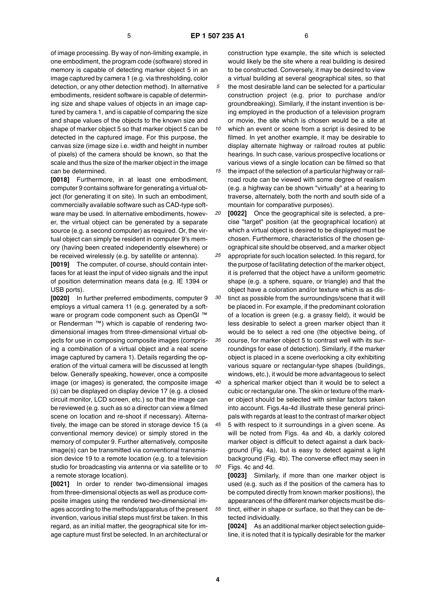of image processing. By way of non-limiting example, in one embodiment, the program code (software) stored in memory is capable of detecting marker object 5 in an image captured by camera 1 (e.g. via thresholding, color detection, or any other detection method). In alternative embodiments, resident software is capable of determining size and shape values of objects in an image captured by camera 1, and is capable of comparing the size and shape values of the objects to the known size and shape of marker object 5 so that marker object 5 can be detected in the captured image. For this purpose, the canvas size (image size i.e. width and height in number of pixels) of the camera should be known, so that the scale and thus the size of the marker object in the image can be determined.

**[0018]** Furthermore, in at least one embodiment, computer 9 contains software for generating a virtual object (for generating it on site). In such an embodiment, commercially available software such as CAD-type software may be used. In alternative embodiments, however, the virtual object can be generated by a separate source (e.g. a second computer) as required. Or, the virtual object can simply be resident in computer 9's memory (having been created independently elsewhere) or be received wirelessly (e.g. by satellite or antenna).

**[0019]** The computer, of course, should contain interfaces for at least the input of video signals and the input of position determination means data (e.g. IE 1394 or USB ports).

**[0020]** In further preferred embodiments, computer 9 employs a virtual camera 11 (e.g. generated by a software or program code component such as OpenGl ™ or Renderman ™) which is capable of rendering twodimensional images from three-dimensional virtual objects for use in composing composite images (comprising a combination of a virtual object and a real scene image captured by camera 1). Details regarding the operation of the virtual camera will be discussed at length below. Generally speaking, however, once a composite image (or images) is generated, the composite image (s) can be displayed on display device 17 (e.g. a closed circuit monitor, LCD screen, etc.) so that the image can be reviewed (e.g. such as so a director can view a filmed scene on location and re-shoot if necessary). Alternatively, the image can be stored in storage device 15 (a conventional memory device) or simply stored in the memory of computer 9. Further alternatively, composite image(s) can be transmitted via conventional transmission device 19 to a remote location (e.g. to a television studio for broadcasting via antenna or via satellite or to a remote storage location).

**[0021]** In order to render two-dimensional images from three-dimensional objects as well as produce composite images using the rendered two-dimensional images according to the methods/apparatus of the present invention, various initial steps must first be taken. In this regard, as an initial matter, the geographical site for image capture must first be selected. In an architectural or

construction type example, the site which is selected would likely be the site where a real building is desired to be constructed. Conversely, it may be desired to view a virtual building at several geographical sites, so that the most desirable land can be selected for a particular construction project (e.g. prior to purchase and/or groundbreaking). Similarly, if the instant invention is being employed in the production of a television program or movie, the site which is chosen would be a site at

- *10 15* which an event or scene from a script is desired to be filmed. In yet another example, it may be desirable to display alternate highway or railroad routes at public hearings. In such case, various prospective locations or various views of a single location can be filmed so that
	- the impact of the selection of a particular highway or railroad route can be viewed with some degree of realism (e.g. a highway can be shown "virtually" at a hearing to traverse, alternately, both the north and south side of a mountain for comparative purposes).
- *20 25 30 35* **[0022]** Once the geographical site is selected, a precise "target" position (at the geographical location) at which a virtual object is desired to be displayed must be chosen. Furthermore, characteristics of the chosen geographical site should be observed, and a marker object appropriate for such location selected. In this regard, for the purpose of facilitating detection of the marker object, it is preferred that the object have a uniform geometric shape (e.g. a sphere, square, or triangle) and that the object have a coloration and/or texture which is as distinct as possible from the surroundings/scene that it will be placed in. For example, if the predominant coloration of a location is green (e.g. a grassy field), it would be less desirable to select a green marker object than it would be to select a red one (the objective being, of course, for marker object 5 to contrast well with its sur-
- *40* roundings for ease of detection). Similarly, if the marker object is placed in a scene overlooking a city exhibiting various square or rectangular-type shapes (buildings, windows, etc.), it would be more advantageous to select
	- a spherical marker object than it would be to select a cubic or rectangular one. The skin or texture of the marker object should be selected with similar factors taken into account. Figs.4a-4d illustrate these general principals with regards at least to the contrast of marker object
- *45 50* 5 with respect to it surroundings in a given scene. As will be noted from Figs. 4a and 4b, a darkly colored marker object is difficult to detect against a dark background (Fig. 4a), but is easy to detect against a light background (Fig. 4b). The converse effect may seen in Figs. 4c and 4d.

**[0023]** Similarly, if more than one marker object is used (e.g. such as if the position of the camera has to be computed directly from known marker positions), the appearances of the different marker objects must be distinct, either in shape or surface, so that they can be detected individually.

**[0024]** As an additional marker object selection guideline, it is noted that it is typically desirable for the marker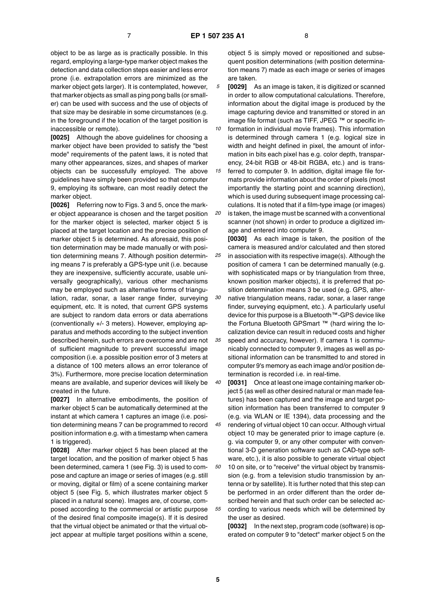object to be as large as is practically possible. In this regard, employing a large-type marker object makes the detection and data collection steps easier and less error prone (i.e. extrapolation errors are minimized as the marker object gets larger). It is contemplated, however, that marker objects as small as ping pong balls (or smaller) can be used with success and the use of objects of that size may be desirable in some circumstances (e.g. in the foreground if the location of the target position is inaccessible or remote).

**[0025]** Although the above guidelines for choosing a marker object have been provided to satisfy the "best mode" requirements of the patent laws, it is noted that many other appearances, sizes, and shapes of marker objects can be successfully employed. The above guidelines have simply been provided so that computer 9, employing its software, can most readily detect the marker object.

**[0026]** Referring now to Figs. 3 and 5, once the marker object appearance is chosen and the target position for the marker object is selected, marker object 5 is placed at the target location and the precise position of marker object 5 is determined. As aforesaid, this position determination may be made manually or with position determining means 7. Although position determining means 7 is preferably a GPS-type unit (i.e. because they are inexpensive, sufficiently accurate, usable universally geographically), various other mechanisms may be employed such as alternative forms of triangulation, radar, sonar, a laser range finder, surveying equipment, etc. It is noted, that current GPS systems are subject to random data errors or data aberrations (conventionally +/- 3 meters). However, employing apparatus and methods according to the subject invention described herein, such errors are overcome and are not of sufficient magnitude to prevent successful image composition (i.e. a possible position error of 3 meters at a distance of 100 meters allows an error tolerance of 3%). Furthermore, more precise location determination means are available, and superior devices will likely be created in the future.

**[0027]** In alternative embodiments, the position of marker object 5 can be automatically determined at the instant at which camera 1 captures an image (i.e. position determining means 7 can be programmed to record position information e.g. with a timestamp when camera 1 is triggered).

**[0028]** After marker object 5 has been placed at the target location, and the position of marker object 5 has been determined, camera 1 (see Fig. 3) is used to compose and capture an image or series of images (e.g. still or moving, digital or film) of a scene containing marker object 5 (see Fig. 5, which illustrates marker object 5 placed in a natural scene). Images are, of course, composed according to the commercial or artistic purpose of the desired final composite image(s). If it is desired that the virtual object be animated or that the virtual object appear at multiple target positions within a scene,

object 5 is simply moved or repositioned and subsequent position determinations (with position determination means 7) made as each image or series of images are taken.

*5* **[0029]** As an image is taken, it is digitized or scanned in order to allow computational calculations. Therefore, information about the digital image is produced by the image capturing device and transmitted or stored in an image file format (such as TIFF, JPEG ™ or specific in-

*10* formation in individual movie frames). This information is determined through camera 1 (e.g. logical size in width and height defined in pixel, the amount of information in bits each pixel has e.g. color depth, transparency, 24-bit RGB or 48-bit RGBA, etc.) and is trans-

*15 20* ferred to computer 9. In addition, digital image file formats provide information about the order of pixels (most importantly the starting point and scanning direction), which is used during subsequent image processing calculations. It is noted that if a film-type image (or images) is taken, the image must be scanned with a conventional

scanner (not shown) in order to produce a digitized image and entered into computer 9.

*25 30 35* **[0030]** As each image is taken, the position of the camera is measured and/or calculated and then stored in association with its respective image(s). Although the position of camera 1 can be determined manually (e.g. with sophisticated maps or by triangulation from three, known position marker objects), it is preferred that position determination means 3 be used (e.g. GPS, alternative triangulation means, radar, sonar, a laser range finder, surveying equipment, etc.). A particularly useful device for this purpose is a Bluetooth™-GPS device like the Fortuna Bluetooth GPSmart ™ (hard wiring the localization device can result in reduced costs and higher speed and accuracy, however). If camera 1 is communicably connected to computer 9, images as well as positional information can be transmitted to and stored in computer 9's memory as each image and/or position determination is recorded i.e. in real-time.

*40 45 50 55* **[0031]** Once at least one image containing marker object 5 (as well as other desired natural or man made features) has been captured and the image and target position information has been transferred to computer 9 (e.g. via WLAN or IE 1394), data processing and the rendering of virtual object 10 can occur. Although virtual object 10 may be generated prior to image capture (e. g. via computer 9, or any other computer with conventional 3-D generation software such as CAD-type software, etc.), it is also possible to generate virtual object 10 on site, or to "receive" the virtual object by transmission (e.g. from a television studio transmission by antenna or by satellite). It is further noted that this step can be performed in an order different than the order described herein and that such order can be selected according to various needs which will be determined by the user as desired.

**[0032]** In the next step, program code (software) is operated on computer 9 to "detect" marker object 5 on the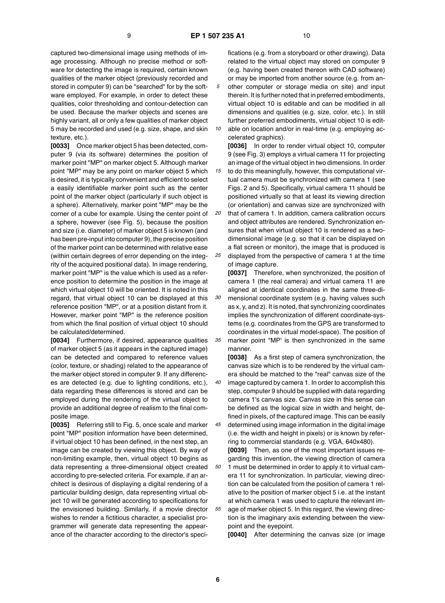*10*

*30*

*35*

*40*

*45*

*50*

*55*

captured two-dimensional image using methods of image processing. Although no precise method or software for detecting the image is required, certain known qualities of the marker object (previously recorded and stored in computer 9) can be "searched" for by the software employed. For example, in order to detect these qualities, color thresholding and contour-detection can be used. Because the marker objects and scenes are highly variant, all or only a few qualities of marker object 5 may be recorded and used (e.g. size, shape, and skin texture, etc.).

**[0033]** Once marker object 5 has been detected, computer 9 (via its software) determines the position of marker point "MP" on marker object 5. Although marker point "MP" may be any point on marker object 5 which is desired, it is typically convenient and efficient to select a easily identifiable marker point such as the center point of the marker object (particularly if such object is a sphere). Alternatively, marker point "MP" may be the corner of a cube for example. Using the center point of a sphere, however (see Fig. 5), because the position and size (i.e. diameter) of marker object 5 is known (and has been pre-input into computer 9), the precise position of the marker point can be determined with relative ease (within certain degrees of error depending on the integrity of the acquired positional data). In image rendering, marker point "MP" is the value which is used as a reference position to determine the position in the image at which virtual object 10 will be oriented. It is noted in this regard, that virtual object 10 can be displayed at this reference position "MP", or at a position distant from it. However, marker point "MP" is the reference position from which the final position of virtual object 10 should be calculated/determined.

**[0034]** Furthermore, if desired, appearance qualities of marker object 5 (as it appears in the captured image) can be detected and compared to reference values (color, texture, or shading) related to the appearance of the marker object stored in computer 9. If any differences are detected (e.g. due to lighting conditions, etc.), data regarding these differences is stored and can be employed during the rendering of the virtual object to provide an additional degree of realism to the final composite image.

**[0035]** Referring still to Fig. 5, once scale and marker point "MP" position information have been determined, if virtual object 10 has been defined, in the next step, an image can be created by viewing this object. By way of non-limiting example, then, virtual object 10 begins as data representing a three-dimensional object created according to pre-selected criteria. For example, if an architect is desirous of displaying a digital rendering of a particular building design, data representing virtual object 10 will be generated according to specifications for the envisioned building. Similarly, if a movie director wishes to render a fictitious character, a specialist programmer will generate data representing the appearance of the character according to the director's specifications (e.g. from a storyboard or other drawing). Data related to the virtual object may stored on computer 9 (e.g. having been created thereon with CAD software) or may be imported from another source (e.g. from another computer or storage media on site) and input therein. It is further noted that in preferred embodiments, virtual object 10 is editable and can be modified in all dimensions and qualities (e.g. size, color, etc.). In still further preferred embodiments, virtual object 10 is editable on location and/or in real-time (e.g. employing accelerated graphics).

**[0036]** In order to render virtual object 10, computer 9 (see Fig. 3) employs a virtual camera 11 for projecting an image of the virtual object in two dimensions. In order

*15 20* to do this meaningfully, however, this computational virtual camera must be synchronized with camera 1 (see Figs. 2 and 5). Specifically, virtual camera 11 should be positioned virtually so that at least its viewing direction (or orientation) and canvas size are synchronized with that of camera 1. In addition, camera calibration occurs and object attributes are rendered. Synchronization ensures that when virtual object 10 is rendered as a twodimensional image (e.g. so that it can be displayed on a flat screen or monitor), the image that is produced is

*25* displayed from the perspective of camera 1 at the time of image capture.

**[0037]** Therefore, when synchronized, the position of camera 1 (the real camera) and virtual camera 11 are aligned at identical coordinates in the same three-dimensional coordinate system (e.g. having values such as x, y, and z). It is noted, that synchronizing coordinates implies the synchronization of different coordinate-systems (e.g. coordinates from the GPS are transformed to coordinates in the virtual model-space). The position of marker point "MP' is then synchronized in the same manner.

**[0038]** As a first step of camera synchronization, the canvas size which is to be rendered by the virtual camera should be matched to the "real" canvas size of the image captured by camera 1. In order to accomplish this step, computer 9 should be supplied with data regarding camera 1's canvas size. Canvas size in this sense can be defined as the logical size in width and height, defined in pixels, of the captured image. This can be easily determined using image information in the digital image

(i.e. the width and height in pixels) or is known by referring to commercial standards (e.g. VGA, 640x480). **[0039]** Then, as one of the most important issues re-

garding this invention, the viewing direction of camera 1 must be determined in order to apply it to virtual camera 11 for synchronization. In particular, viewing direction can be calculated from the position of camera 1 relative to the position of marker object 5 i.e. at the instant at which camera 1 was used to capture the relevant image of marker object 5. In this regard, the viewing direction is the imaginary axis extending between the viewpoint and the eyepoint.

**[0040]** After determining the canvas size (or image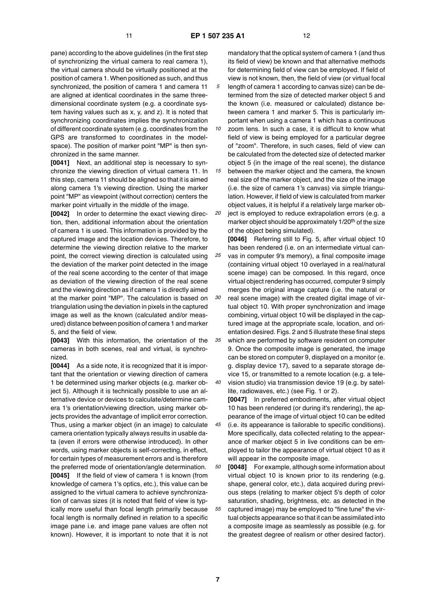*25*

*30*

*40*

pane) according to the above guidelines (in the first step of synchronizing the virtual camera to real camera 1), the virtual camera should be virtually positioned at the position of camera 1. When positioned as such, and thus synchronized, the position of camera 1 and camera 11 are aligned at identical coordinates in the same threedimensional coordinate system (e.g. a coordinate system having values such as x, y, and z). It is noted that synchronizing coordinates implies the synchronization of different coordinate system (e.g. coordinates from the GPS are transformed to coordinates in the modelspace). The position of marker point "MP" is then synchronized in the same manner.

**[0041]** Next, an additional step is necessary to synchronize the viewing direction of virtual camera 11. In this step, camera 11 should be aligned so that it is aimed along camera 1's viewing direction. Using the marker point "MP" as viewpoint (without correction) centers the marker point virtually in the middle of the image.

**[0042]** In order to determine the exact viewing direction, then, additional information about the orientation of camera 1 is used. This information is provided by the captured image and the location devices. Therefore, to determine the viewing direction relative to the marker point, the correct viewing direction is calculated using the deviation of the marker point detected in the image of the real scene according to the center of that image as deviation of the viewing direction of the real scene and the viewing direction as if camera 1 is directly aimed at the marker point "MP". The calculation is based on triangulation using the deviation in pixels in the captured image as well as the known (calculated and/or measured) distance between position of camera 1 and marker 5, and the field of view.

**[0043]** With this information, the orientation of the cameras in both scenes, real and virtual, is synchronized.

**[0044]** As a side note, it is recognized that it is important that the orientation or viewing direction of camera 1 be determined using marker objects (e.g. marker object 5). Although it is technically possible to use an alternative device or devices to calculate/determine camera 1's orientation/viewing direction, using marker objects provides the advantage of implicit error correction. Thus, using a marker object (in an image) to calculate camera orientation typically always results in usable data (even if errors were otherwise introduced). In other words, using marker objects is self-correcting, in effect, for certain types of measurement errors and is therefore the preferred mode of orientation/angle determination. **[0045]** If the field of view of camera 1 is known (from knowledge of camera 1's optics, etc.), this value can be assigned to the virtual camera to achieve synchronization of canvas sizes (it is noted that field of view is typically more useful than focal length primarily because focal length is normally defined in relation to a specific image pane i.e. and image pane values are often not known). However, it is important to note that it is not

mandatory that the optical system of camera 1 (and thus its field of view) be known and that alternative methods for determining field of view can be employed. If field of view is not known, then, the field of view (or virtual focal length of camera 1 according to canvas size) can be determined from the size of detected marker object 5 and the known (i.e. measured or calculated) distance between camera 1 and marker 5. This is particularly important when using a camera 1 which has a continuous

- *10 15* zoom lens. In such a case, it is difficult to know what field of view is being employed for a particular degree of "zoom". Therefore, in such cases, field of view can be calculated from the detected size of detected marker object 5 (in the image of the real scene), the distance between the marker object and the camera, the known
- *20* real size of the marker object, and the size of the image (i.e. the size of camera 1's canvas) via simple triangulation. However, if field of view is calculated from marker object values, it is helpful if a relatively large marker object is employed to reduce extrapolation errors (e.g. a

marker object should be approximately 1/20<sup>th</sup> of the size of the object being simulated).

*35* **[0046]** Referring still to Fig. 5, after virtual object 10 has been rendered (i.e. on an intermediate virtual canvas in computer 9's memory), a final composite image (containing virtual object 10 overlayed in a real/natural scene image) can be composed. In this regard, once virtual object rendering has occurred, computer 9 simply merges the original image capture (i.e. the natural or real scene image) with the created digital image of virtual object 10. With proper synchronization and image combining, virtual object 10 will be displayed in the captured image at the appropriate scale, location, and orientation desired. Figs. 2 and 5 illustrate these final steps which are performed by software resident on computer 9. Once the composite image is generated, the image can be stored on computer 9, displayed on a monitor (e. g. display device 17), saved to a separate storage device 15, or transmitted to a remote location (e.g. a tele-

vision studio) via transmission device 19 (e.g. by satellite, radiowaves, etc.) (see Fig. 1 or 2).

**[0047]** In preferred embodiments, after virtual object 10 has been rendered (or during it's rendering), the appearance of the image of virtual object 10 can be edited

- *45* (i.e. its appearance is tailorable to specific conditions). More specifically, data collected relating to the appearance of marker object 5 in live conditions can be employed to tailor the appearance of virtual object 10 as it will appear in the composite image.
- *50 55* **[0048]** For example, although some information about virtual object 10 is known prior to its rendering (e.g. shape, general color, etc.), data acquired during previous steps (relating to marker object 5's depth of color saturation, shading, brightness, etc. as detected in the captured image) may be employed to "fine tune" the virtual objects appearance so that it can be assimilated into a composite image as seamlessly as possible (e.g. for the greatest degree of realism or other desired factor).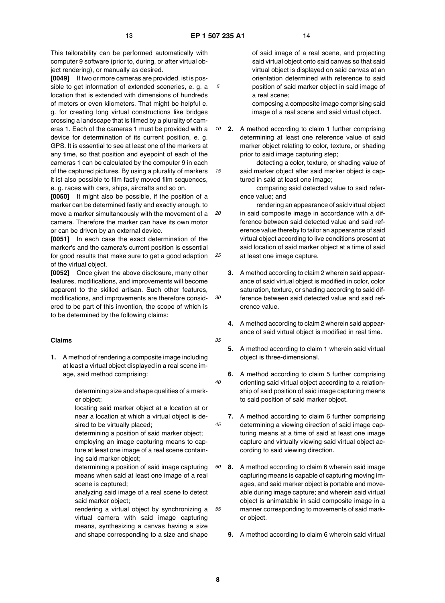*10*

*15*

*25*

*30*

*35*

*40*

*45*

*50*

This tailorability can be performed automatically with computer 9 software (prior to, during, or after virtual object rendering), or manually as desired.

**[0049]** If two or more cameras are provided, ist is possible to get information of extended sceneries, e. g. a location that is extended with dimensions of hundreds of meters or even kilometers. That might be helpful e. g. for creating long virtual constructions like bridges crossing a landscape that is filmed by a plurality of cameras 1. Each of the cameras 1 must be provided with a device for determination of its current position, e. g. GPS. It is essential to see at least one of the markers at any time, so that position and eyepoint of each of the cameras 1 can be calculated by the computer 9 in each of the captured pictures. By using a plurality of markers it ist also possible to film fastly moved film sequences, e. g. races with cars, ships, aircrafts and so on.

*20* **[0050]** It might also be possible, if the position of a marker can be determined fastly and exactly enough, to move a marker simultaneously with the movement of a camera. Therefore the marker can have its own motor or can be driven by an external device.

**[0051]** In each case the exact determination of the marker's and the camera's current position is essential for good results that make sure to get a good adaption of the virtual object.

**[0052]** Once given the above disclosure, many other features, modifications, and improvements will become apparent to the skilled artisan. Such other features, modifications, and improvements are therefore considered to be part of this invention, the scope of which is to be determined by the following claims:

#### **Claims**

**1.** A method of rendering a composite image including at least a virtual object displayed in a real scene image, said method comprising:

> determining size and shape qualities of a marker object;

> locating said marker object at a location at or near a location at which a virtual object is desired to be virtually placed;

> determining a position of said marker object; employing an image capturing means to capture at least one image of a real scene containing said marker object;

determining a position of said image capturing means when said at least one image of a real scene is captured;

analyzing said image of a real scene to detect said marker object;

*55* rendering a virtual object by synchronizing a virtual camera with said image capturing means, synthesizing a canvas having a size and shape corresponding to a size and shape

of said image of a real scene, and projecting said virtual object onto said canvas so that said virtual object is displayed on said canvas at an orientation determined with reference to said position of said marker object in said image of a real scene;

composing a composite image comprising said image of a real scene and said virtual object.

**2.** A method according to claim 1 further comprising determining at least one reference value of said marker object relating to color, texture, or shading prior to said image capturing step;

detecting a color, texture, or shading value of said marker object after said marker object is captured in said at least one image;

comparing said detected value to said reference value; and

rendering an appearance of said virtual object in said composite image in accordance with a difference between said detected value and said reference value thereby to tailor an appearance of said virtual object according to live conditions present at said location of said marker object at a time of said at least one image capture.

- **3.** A method according to claim 2 wherein said appearance of said virtual object is modified in color, color saturation, texture, or shading according to said difference between said detected value and said reference value.
- **4.** A method according to claim 2 wherein said appearance of said virtual object is modified in real time.
- **5.** A method according to claim 1 wherein said virtual object is three-dimensional.
- **6.** A method according to claim 5 further comprising orienting said virtual object according to a relationship of said position of said image capturing means to said position of said marker object.
- **7.** A method according to claim 6 further comprising determining a viewing direction of said image capturing means at a time of said at least one image capture and virtually viewing said virtual object according to said viewing direction.
- **8.** A method according to claim 6 wherein said image capturing means is capable of capturing moving images, and said marker object is portable and moveable during image capture; and wherein said virtual object is animatable in said composite image in a manner corresponding to movements of said marker object.
- **9.** A method according to claim 6 wherein said virtual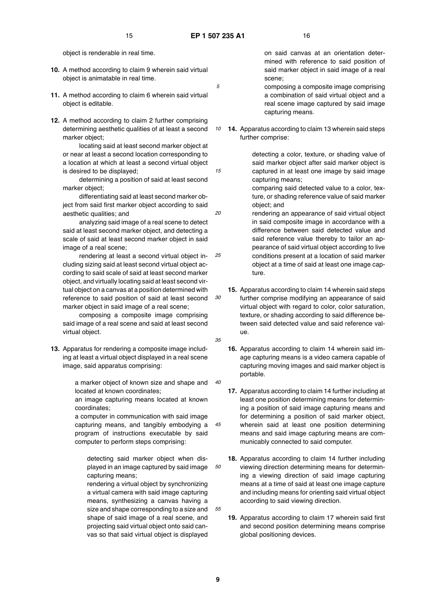*10*

*15*

*20*

*35*

*45*

object is renderable in real time.

- **10.** A method according to claim 9 wherein said virtual object is animatable in real time.
- **11.** A method according to claim 6 wherein said virtual object is editable.
- **12.** A method according to claim 2 further comprising determining aesthetic qualities of at least a second marker object;

locating said at least second marker object at or near at least a second location corresponding to a location at which at least a second virtual object is desired to be displayed;

determining a position of said at least second marker object;

differentiating said at least second marker object from said first marker object according to said aesthetic qualities; and

analyzing said image of a real scene to detect said at least second marker object, and detecting a scale of said at least second marker object in said image of a real scene;

*25 30* rendering at least a second virtual object including sizing said at least second virtual object according to said scale of said at least second marker object, and virtually locating said at least second virtual object on a canvas at a position determined with reference to said position of said at least second marker object in said image of a real scene;

composing a composite image comprising said image of a real scene and said at least second virtual object.

**13.** Apparatus for rendering a composite image including at least a virtual object displayed in a real scene image, said apparatus comprising:

> *40* a marker object of known size and shape and located at known coordinates;

an image capturing means located at known coordinates;

a computer in communication with said image capturing means, and tangibly embodying a program of instructions executable by said computer to perform steps comprising:

*50* detecting said marker object when displayed in an image captured by said image capturing means;

rendering a virtual object by synchronizing a virtual camera with said image capturing means, synthesizing a canvas having a size and shape corresponding to a size and shape of said image of a real scene, and projecting said virtual object onto said canvas so that said virtual object is displayed

on said canvas at an orientation determined with reference to said position of said marker object in said image of a real scene;

composing a composite image comprising a combination of said virtual object and a real scene image captured by said image capturing means.

**14.** Apparatus according to claim 13 wherein said steps further comprise:

> detecting a color, texture, or shading value of said marker object after said marker object is captured in at least one image by said image capturing means;

> comparing said detected value to a color, texture, or shading reference value of said marker object; and

rendering an appearance of said virtual object in said composite image in accordance with a difference between said detected value and said reference value thereby to tailor an appearance of said virtual object according to live conditions present at a location of said marker object at a time of said at least one image capture.

- **15.** Apparatus according to claim 14 wherein said steps further comprise modifying an appearance of said virtual object with regard to color, color saturation, texture, or shading according to said difference between said detected value and said reference value.
- **16.** Apparatus according to claim 14 wherein said image capturing means is a video camera capable of capturing moving images and said marker object is portable.
- **17.** Apparatus according to claim 14 further including at least one position determining means for determining a position of said image capturing means and for determining a position of said marker object, wherein said at least one position determining means and said image capturing means are communicably connected to said computer.
- **18.** Apparatus according to claim 14 further including viewing direction determining means for determining a viewing direction of said image capturing means at a time of said at least one image capture and including means for orienting said virtual object according to said viewing direction.
- **19.** Apparatus according to claim 17 wherein said first and second position determining means comprise global positioning devices.

**9**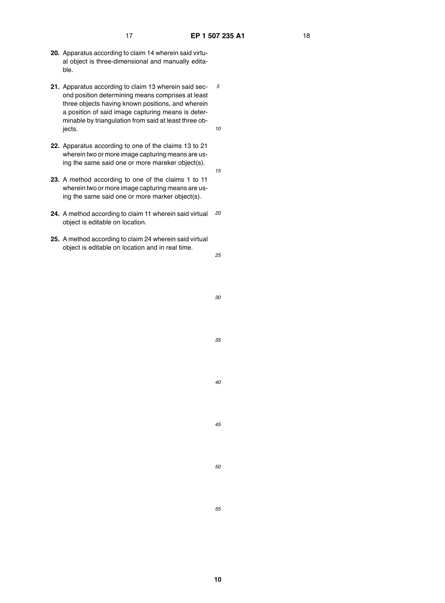*10*

*15*

- **20.** Apparatus according to claim 14 wherein said virtual object is three-dimensional and manually editable.
- **21.** Apparatus according to claim 13 wherein said second position determining means comprises at least three objects having known positions, and wherein a position of said image capturing means is determinable by triangulation from said at least three objects.
- **22.** Apparatus according to one of the claims 13 to 21 wherein two or more image capturing means are using the same said one or more mareker object(s).
- **23.** A method according to one of the claims 1 to 11 wherein two or more image capturing means are using the same said one or more marker object(s).
- *20* **24.** A method according to claim 11 wherein said virtual object is editable on location.
- **25.** A method according to claim 24 wherein said virtual object is editable on location and in real time.

*25*

*30*

*35*

*40*

*45*

*50*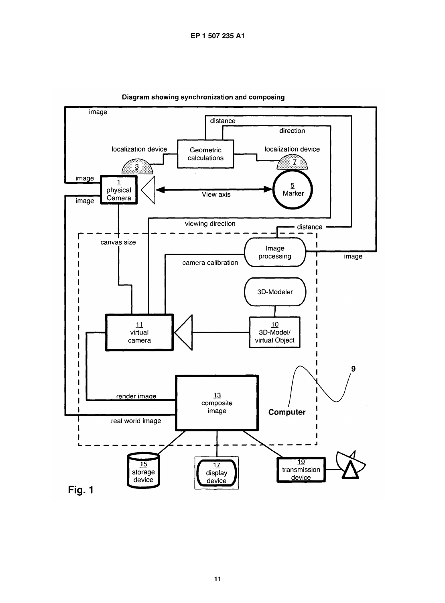

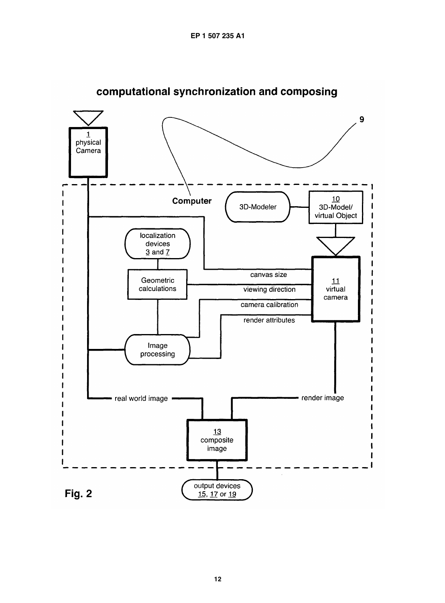

computational synchronization and composing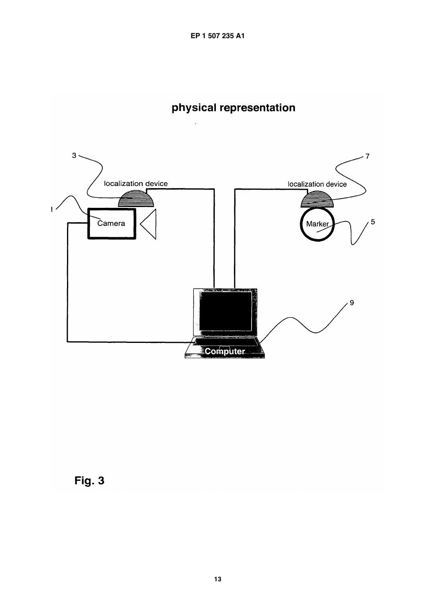EP 1 507 235 A1

## physical representation



**Fig. 3**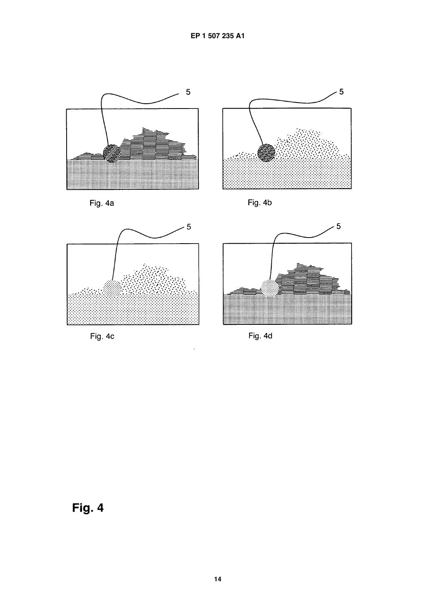



Fig. 4a





Fig. 4c



Fig. 4d

# Fig. 4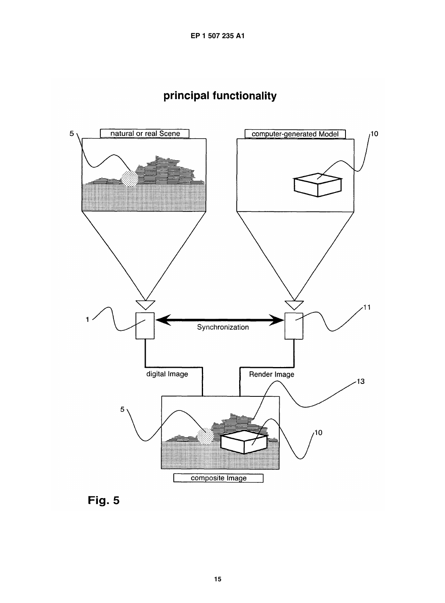



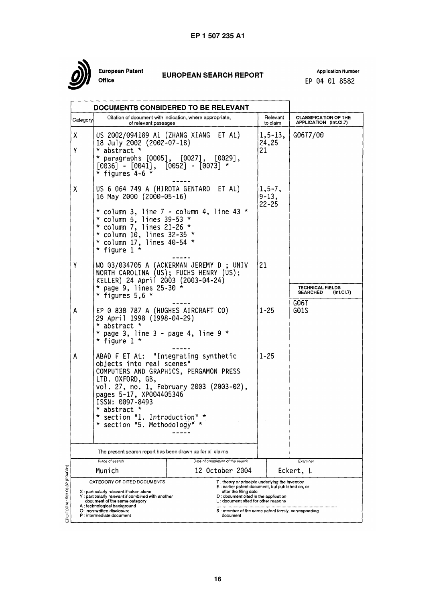

European Patent .<br>Office

## **EUROPEAN SEARCH REPORT**

**Application Number** EP 04 01 8582

 $\overline{\phantom{0}}$ 

|                                                                                                                                                                                   |                                                                                                                                                                                                                                                       | <b>DOCUMENTS CONSIDERED TO BE RELEVANT</b>                                                                                                                                                                                                                                            |                             |                                        |                                                                   |  |
|-----------------------------------------------------------------------------------------------------------------------------------------------------------------------------------|-------------------------------------------------------------------------------------------------------------------------------------------------------------------------------------------------------------------------------------------------------|---------------------------------------------------------------------------------------------------------------------------------------------------------------------------------------------------------------------------------------------------------------------------------------|-----------------------------|----------------------------------------|-------------------------------------------------------------------|--|
| Category                                                                                                                                                                          | of relevant passages                                                                                                                                                                                                                                  | Citation of document with indication, where appropriate,                                                                                                                                                                                                                              |                             | Relevant<br>to claim                   | <b>CLASSIFICATION OF THE</b><br>APPLICATION (Int.Cl.7)            |  |
| X.<br>Y                                                                                                                                                                           | 18 July 2002 (2002-07-18)<br>* abstract *<br>$[0036] - [0041], [0052] - [0073]$ *<br>* figures 4-6 $*$                                                                                                                                                | US 2002/094189 A1 (ZHANG XIANG ET AL)<br>* paragraphs [0005], [0027], [0029],                                                                                                                                                                                                         | $1, 5 - 13,$<br>24,25<br>21 |                                        | G06T7/00                                                          |  |
| χ                                                                                                                                                                                 | 16 May 2000 (2000-05-16)<br>* column 5, lines 39-53 *<br>* column 7, lines 21-26 *<br>* column 10, lines $32-35$ *<br>$*$ column 17, lines 40-54 $*$<br>* figure 1 $*$                                                                                | US 6 064 749 A (HIROTA GENTARO ET AL)<br>$*$ column 3, line 7 - column 4, line 43 $*$                                                                                                                                                                                                 |                             | $1, 5 - 7,$<br>$9 - 13$ ,<br>$22 - 25$ |                                                                   |  |
| Y                                                                                                                                                                                 | * page 9, lines $25-30$ *<br>* figures $5,6$ *                                                                                                                                                                                                        | WO 03/034705 A (ACKERMAN JEREMY D ; UNIV<br>21<br>NORTH CAROLINA (US); FUCHS HENRY (US);<br>KELLER) 24 April 2003 (2003-04-24)<br>EP 0 838 787 A (HUGHES AIRCRAFT CO)<br>$1 - 25$<br>$*$ page 3, line 3 - page 4, line 9 $*$                                                          |                             |                                        | TECHNICAL FIELDS<br>(Int.CI.7)<br><b>SEARCHED</b><br>G06T<br>G01S |  |
| A                                                                                                                                                                                 | 29 April 1998 (1998-04-29)<br>* abstract *<br>* figure $1$ *                                                                                                                                                                                          |                                                                                                                                                                                                                                                                                       |                             |                                        |                                                                   |  |
| A<br>objects into real scenes"<br>LTD. OXFORD, GB,<br>pages 5-17, XP004405346<br>ISSN: 0097-8493<br>* abstract *<br>* section "1. Introduction" *<br>* section "5. Methodology" * |                                                                                                                                                                                                                                                       | ABAD F ET AL: "Integrating synthetic<br>COMPUTERS AND GRAPHICS, PERGAMON PRESS<br>vol. 27, no. 1, February 2003 (2003-02),                                                                                                                                                            |                             | $1 - 25$                               |                                                                   |  |
|                                                                                                                                                                                   | The present search report has been drawn up for all claims                                                                                                                                                                                            |                                                                                                                                                                                                                                                                                       |                             |                                        |                                                                   |  |
| Place of search<br>Munich                                                                                                                                                         |                                                                                                                                                                                                                                                       | Date of completion of the search<br>12 October 2004                                                                                                                                                                                                                                   |                             |                                        | Examiner<br>Eckert, L                                             |  |
|                                                                                                                                                                                   | CATEGORY OF CITED DOCUMENTS<br>X: particularly relevant if taken alone<br>Y: particularly relevant if combined with another<br>document of the same category<br>A: technological background<br>O: non-written disclosure<br>P : intermediate document | T: theory or principle underlying the invention<br>E: earlier patent document, but published on, or<br>after the filing date<br>D: document cited in the application<br>$\tt L$ : document cited for other reasons<br>& : member of the same patent family, corresponding<br>document |                             |                                        |                                                                   |  |